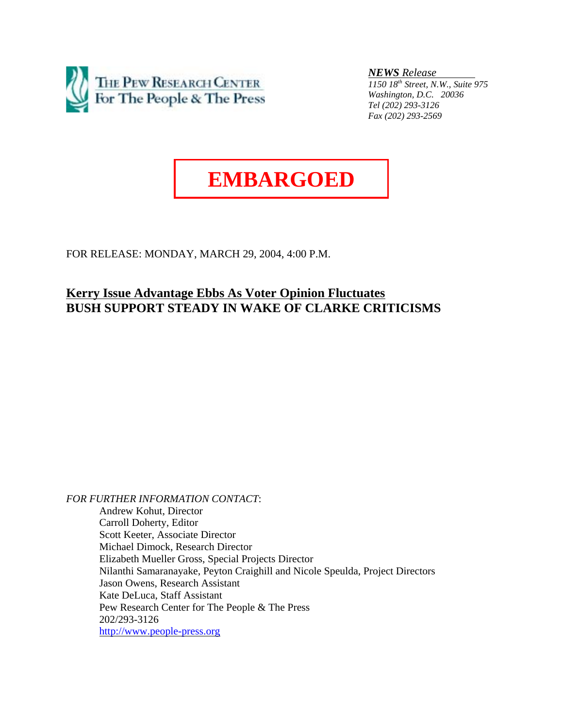

*NEWS Release* 

*1150 18th Street, N.W., Suite 975 Washington, D.C. 20036 Tel (202) 293-3126 Fax (202) 293-2569*

# **EMBARGOED**

FOR RELEASE: MONDAY, MARCH 29, 2004, 4:00 P.M.

# **Kerry Issue Advantage Ebbs As Voter Opinion Fluctuates BUSH SUPPORT STEADY IN WAKE OF CLARKE CRITICISMS**

*FOR FURTHER INFORMATION CONTACT*: Andrew Kohut, Director Carroll Doherty, Editor Scott Keeter, Associate Director Michael Dimock, Research Director Elizabeth Mueller Gross, Special Projects Director Nilanthi Samaranayake, Peyton Craighill and Nicole Speulda, Project Directors Jason Owens, Research Assistant Kate DeLuca, Staff Assistant Pew Research Center for The People & The Press 202/293-3126 http://www.people-press.org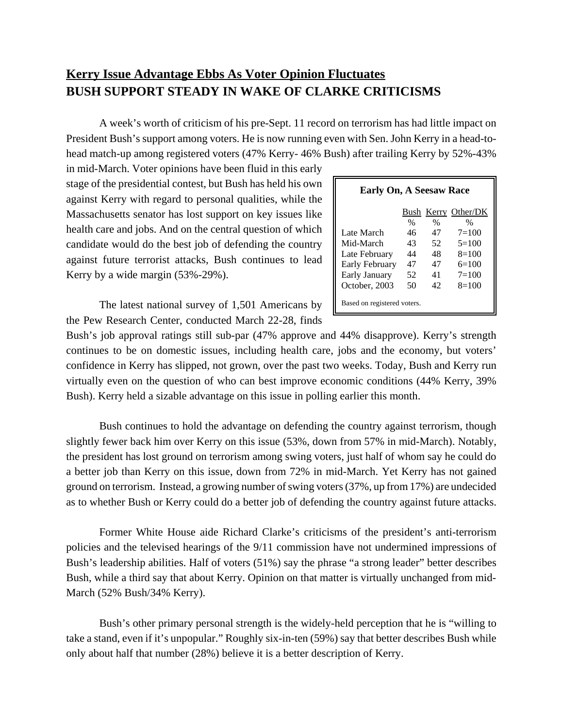# **Kerry Issue Advantage Ebbs As Voter Opinion Fluctuates BUSH SUPPORT STEADY IN WAKE OF CLARKE CRITICISMS**

A week's worth of criticism of his pre-Sept. 11 record on terrorism has had little impact on President Bush's support among voters. He is now running even with Sen. John Kerry in a head-tohead match-up among registered voters (47% Kerry- 46% Bush) after trailing Kerry by 52%-43%

in mid-March. Voter opinions have been fluid in this early stage of the presidential contest, but Bush has held his own against Kerry with regard to personal qualities, while the Massachusetts senator has lost support on key issues like health care and jobs. And on the central question of which candidate would do the best job of defending the country against future terrorist attacks, Bush continues to lead Kerry by a wide margin (53%-29%).

| <b>Early On, A Seesaw Race</b> |      |               |                     |  |  |  |  |  |  |  |
|--------------------------------|------|---------------|---------------------|--|--|--|--|--|--|--|
|                                |      |               | Bush Kerry Other/DK |  |  |  |  |  |  |  |
|                                | $\%$ | $\frac{0}{0}$ | %                   |  |  |  |  |  |  |  |
| Late March                     | 46   | 47            | $7 = 100$           |  |  |  |  |  |  |  |
| Mid-March                      | 43   | 52            | $5=100$             |  |  |  |  |  |  |  |
| Late February                  | 44   | 48            | $8=100$             |  |  |  |  |  |  |  |
| Early February                 | 47   | 47            | $6=100$             |  |  |  |  |  |  |  |
| Early January                  | 52   | 41            | $7 = 100$           |  |  |  |  |  |  |  |
| October, 2003                  | 50   | 42            | $8=100$             |  |  |  |  |  |  |  |
| Based on registered voters.    |      |               |                     |  |  |  |  |  |  |  |

The latest national survey of 1,501 Americans by the Pew Research Center, conducted March 22-28, finds

Bush's job approval ratings still sub-par (47% approve and 44% disapprove). Kerry's strength continues to be on domestic issues, including health care, jobs and the economy, but voters' confidence in Kerry has slipped, not grown, over the past two weeks. Today, Bush and Kerry run virtually even on the question of who can best improve economic conditions (44% Kerry, 39% Bush). Kerry held a sizable advantage on this issue in polling earlier this month.

Bush continues to hold the advantage on defending the country against terrorism, though slightly fewer back him over Kerry on this issue (53%, down from 57% in mid-March). Notably, the president has lost ground on terrorism among swing voters, just half of whom say he could do a better job than Kerry on this issue, down from 72% in mid-March. Yet Kerry has not gained ground on terrorism. Instead, a growing number of swing voters (37%, up from 17%) are undecided as to whether Bush or Kerry could do a better job of defending the country against future attacks.

Former White House aide Richard Clarke's criticisms of the president's anti-terrorism policies and the televised hearings of the 9/11 commission have not undermined impressions of Bush's leadership abilities. Half of voters (51%) say the phrase "a strong leader" better describes Bush, while a third say that about Kerry. Opinion on that matter is virtually unchanged from mid-March (52% Bush/34% Kerry).

Bush's other primary personal strength is the widely-held perception that he is "willing to take a stand, even if it's unpopular." Roughly six-in-ten (59%) say that better describes Bush while only about half that number (28%) believe it is a better description of Kerry.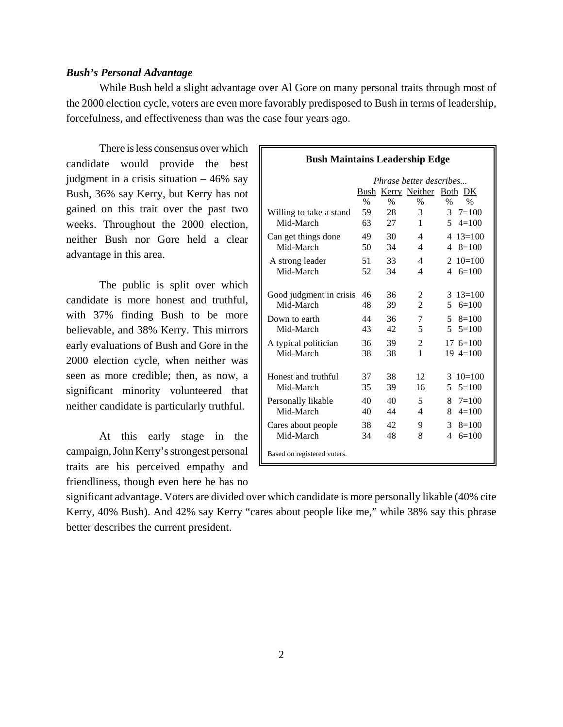### *Bush's Personal Advantage*

While Bush held a slight advantage over Al Gore on many personal traits through most of the 2000 election cycle, voters are even more favorably predisposed to Bush in terms of leadership, forcefulness, and effectiveness than was the case four years ago.

There is less consensus over which  $\blacksquare$ candidate would provide the best judgment in a crisis situation – 46% say Bush, 36% say Kerry, but Kerry has not gained on this trait over the past two weeks. Throughout the 2000 election, neither Bush nor Gore held a clear advantage in this area.

The public is split over which candidate is more honest and truthful, with 37% finding Bush to be more believable, and 38% Kerry. This mirrors early evaluations of Bush and Gore in the 2000 election cycle, when neither was seen as more credible; then, as now, a significant minority volunteered that neither candidate is particularly truthful.

At this early stage in the campaign, John Kerry's strongest personal traits are his perceived empathy and friendliness, though even here he has no

| <b>Bush Maintains Leadership Edge</b> |                         |                  |                     |                                                 |  |  |  |  |  |  |
|---------------------------------------|-------------------------|------------------|---------------------|-------------------------------------------------|--|--|--|--|--|--|
|                                       | Phrase better describes |                  |                     |                                                 |  |  |  |  |  |  |
|                                       |                         |                  |                     | Bush Kerry Neither Both DK                      |  |  |  |  |  |  |
| Willing to take a stand<br>Mid-March  | $\%$<br>59<br>63        | $\%$<br>28<br>27 | $\%$<br>3<br>1      | $\%$<br>$\%$<br>$3 \t 7=100$<br>$5 \quad 4=100$ |  |  |  |  |  |  |
| Can get things done<br>Mid-March      | 49<br>50                | 30<br>34         | 4<br>$\overline{4}$ | $413=100$<br>$48 = 100$                         |  |  |  |  |  |  |
| A strong leader<br>Mid-March          | 51<br>52                | 33<br>34         | 4<br>4              | $210=100$<br>4 $6=100$                          |  |  |  |  |  |  |
| Good judgment in crisis<br>Mid-March  | 46<br>48                | 36<br>39         | 2<br>$\overline{2}$ | $3 \t13=100$<br>$56 = 100$                      |  |  |  |  |  |  |
| Down to earth<br>Mid-March            | 44<br>43                | 36<br>42         | 7<br>5              | $58 = 100$<br>$5^{\circ}$<br>$5=100$            |  |  |  |  |  |  |
| A typical politician<br>Mid-March     | 36<br>38                | 39<br>38         | 2<br>1              | $17 \text{ } 6 = 100$<br>$19 \, 4 = 100$        |  |  |  |  |  |  |
| Honest and truthful<br>Mid-March      | 37<br>35                | 38<br>39         | 12<br>16            | $3 \t10=100$<br>5<br>$5=100$                    |  |  |  |  |  |  |
| Personally likable<br>Mid-March       | 40<br>40                | 40<br>44         | 5<br>4              | $8 \t 7=100$<br>8<br>$4=100$                    |  |  |  |  |  |  |
| Cares about people<br>Mid-March       | 38<br>34                | 42<br>48         | 9<br>8              | 3<br>$8=100$<br>4<br>$6=100$                    |  |  |  |  |  |  |
| Based on registered voters.           |                         |                  |                     |                                                 |  |  |  |  |  |  |

significant advantage. Voters are divided over which candidate is more personally likable (40% cite Kerry, 40% Bush). And 42% say Kerry "cares about people like me," while 38% say this phrase better describes the current president.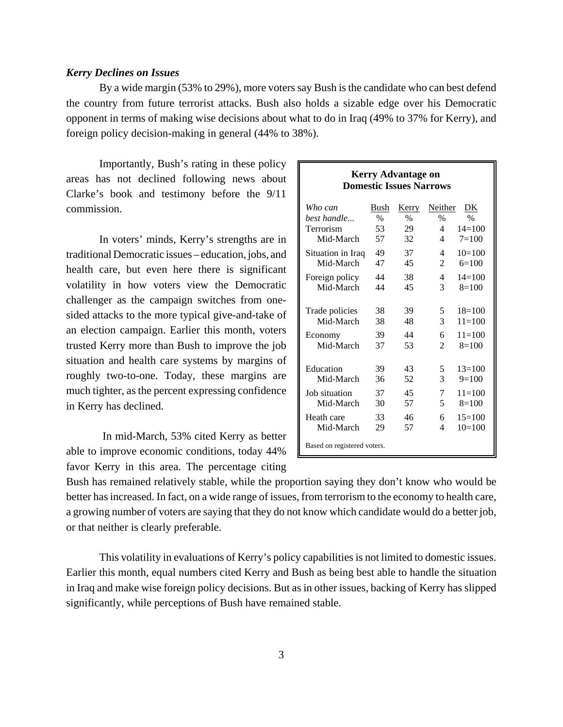#### *Kerry Declines on Issues*

By a wide margin (53% to 29%), more voters say Bush is the candidate who can best defend the country from future terrorist attacks. Bush also holds a sizable edge over his Democratic opponent in terms of making wise decisions about what to do in Iraq (49% to 37% for Kerry), and foreign policy decision-making in general (44% to 38%).

Importantly, Bush's rating in these policy areas has not declined following news about Clarke's book and testimony before the 9/11 commission.

In voters' minds, Kerry's strengths are in traditional Democratic issues – education, jobs, and health care, but even here there is significant volatility in how voters view the Democratic challenger as the campaign switches from onesided attacks to the more typical give-and-take of an election campaign. Earlier this month, voters trusted Kerry more than Bush to improve the job situation and health care systems by margins of roughly two-to-one. Today, these margins are much tighter, as the percent expressing confidence in Kerry has declined.

 In mid-March, 53% cited Kerry as better able to improve economic conditions, today 44% favor Kerry in this area. The percentage citing

# **Kerry Advantage on Domestic Issues Narrows**

| Who can                     | Bush | <b>Kerry</b> | Neither        | DK         |
|-----------------------------|------|--------------|----------------|------------|
| best handle                 | $\%$ | $\%$         | $\%$           | $\%$       |
| Terrorism                   | 53   | 29           | 4              | $14 = 100$ |
| Mid-March                   | 57   | 32           | 4              | $7 = 100$  |
| Situation in Iraq           | 49   | 37           | 4              | $10=100$   |
| Mid-March                   | 47   | 45           | 2              | $6=100$    |
| Foreign policy              | 44   | 38           | 4              | $14=100$   |
| Mid-March                   | 44   | 45           | 3              | $8=100$    |
|                             |      |              |                |            |
| Trade policies              | 38   | 39           | 5              | $18=100$   |
| Mid-March                   | 38   | 48           | 3              | $11 = 100$ |
| Economy                     | 39   | 44           | 6              | $11 = 100$ |
| Mid-March                   | 37   | 53           | $\mathfrak{D}$ | $8=100$    |
|                             |      |              |                |            |
| Education                   | 39   | 43           | 5              | $13=100$   |
| Mid-March                   | 36   | 52           | 3              | $9=100$    |
| Job situation               | 37   | 45           | 7              | $11 = 100$ |
| Mid-March                   | 30   | 57           | 5              | $8=100$    |
| Heath care                  | 33   | 46           | 6              | $15=100$   |
| Mid-March                   | 29   | 57           | 4              | $10=100$   |
| Based on registered voters. |      |              |                |            |

Bush has remained relatively stable, while the proportion saying they don't know who would be better has increased. In fact, on a wide range of issues, from terrorism to the economy to health care, a growing number of voters are saying that they do not know which candidate would do a better job, or that neither is clearly preferable.

This volatility in evaluations of Kerry's policy capabilities is not limited to domestic issues. Earlier this month, equal numbers cited Kerry and Bush as being best able to handle the situation in Iraq and make wise foreign policy decisions. But as in other issues, backing of Kerry has slipped significantly, while perceptions of Bush have remained stable.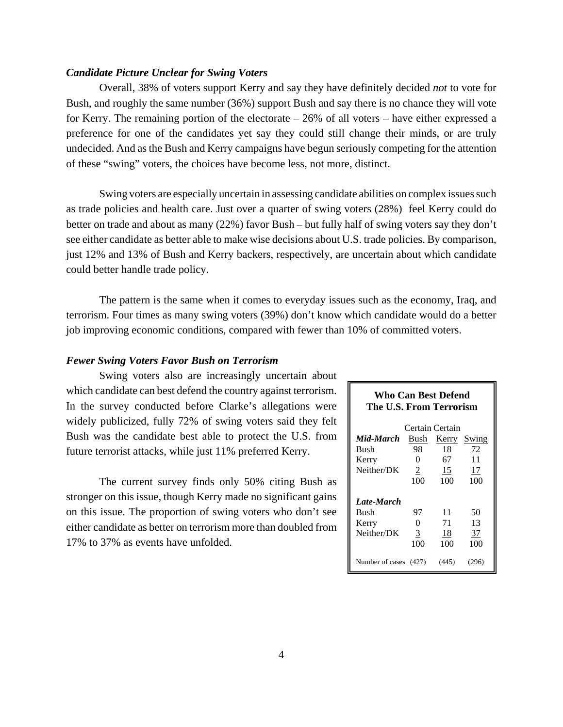# *Candidate Picture Unclear for Swing Voters*

Overall, 38% of voters support Kerry and say they have definitely decided *not* to vote for Bush, and roughly the same number (36%) support Bush and say there is no chance they will vote for Kerry. The remaining portion of the electorate – 26% of all voters – have either expressed a preference for one of the candidates yet say they could still change their minds, or are truly undecided. And as the Bush and Kerry campaigns have begun seriously competing for the attention of these "swing" voters, the choices have become less, not more, distinct.

Swing voters are especially uncertain in assessing candidate abilities on complex issues such as trade policies and health care. Just over a quarter of swing voters (28%) feel Kerry could do better on trade and about as many (22%) favor Bush – but fully half of swing voters say they don't see either candidate as better able to make wise decisions about U.S. trade policies. By comparison, just 12% and 13% of Bush and Kerry backers, respectively, are uncertain about which candidate could better handle trade policy.

The pattern is the same when it comes to everyday issues such as the economy, Iraq, and terrorism. Four times as many swing voters (39%) don't know which candidate would do a better job improving economic conditions, compared with fewer than 10% of committed voters.

# *Fewer Swing Voters Favor Bush on Terrorism*

Swing voters also are increasingly uncertain about which candidate can best defend the country against terrorism. In the survey conducted before Clarke's allegations were widely publicized, fully 72% of swing voters said they felt Bush was the candidate best able to protect the U.S. from future terrorist attacks, while just 11% preferred Kerry.

The current survey finds only 50% citing Bush as stronger on this issue, though Kerry made no significant gains on this issue. The proportion of swing voters who don't see either candidate as better on terrorism more than doubled from 17% to 37% as events have unfolded.

# **Who Can Best Defend The U.S. From Terrorism**

|                    |                | Certain Certain |           |
|--------------------|----------------|-----------------|-----------|
| Mid-March          | Bush           | <u>Kerry</u>    | Swing     |
| <b>Bush</b>        | 98             | 18              | 72        |
| Kerry              | 0              | 67              | 11        |
| Neither/DK         | $\overline{2}$ | 15              | 17        |
|                    | 100            | 100             | 100       |
| Late-March<br>Bush | 97             | 11              | 50        |
| Kerry              | 0              | 71              | 13        |
| Neither/DK         | 3<br>100       | 18<br>100       | 37<br>100 |
| Number of cases    | (427)          | (445)           |           |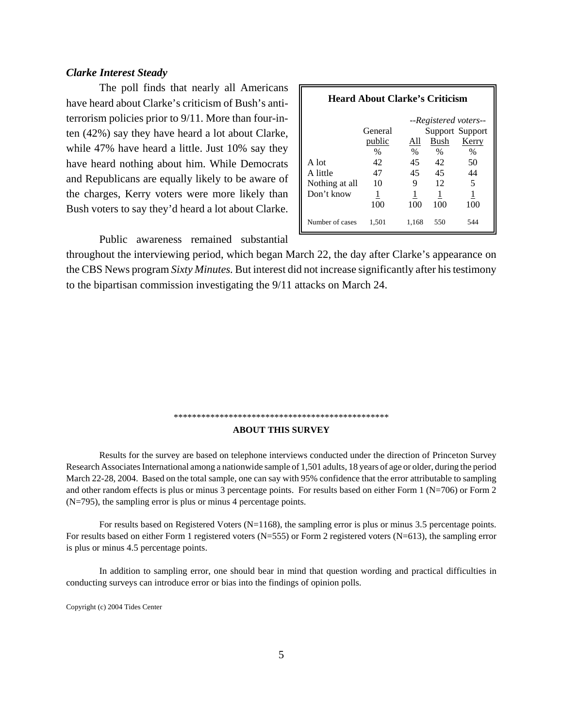# *Clarke Interest Steady*

The poll finds that nearly all Americans have heard about Clarke's criticism of Bush's antiterrorism policies prior to 9/11. More than four-inten (42%) say they have heard a lot about Clarke, while 47% have heard a little. Just 10% say they have heard nothing about him. While Democrats and Republicans are equally likely to be aware of the charges, Kerry voters were more likely than Bush voters to say they'd heard a lot about Clarke.

| <b>Heard About Clarke's Criticism</b> |               |            |            |                                          |  |  |  |  |  |  |  |
|---------------------------------------|---------------|------------|------------|------------------------------------------|--|--|--|--|--|--|--|
|                                       | General       |            |            | --Registered voters--<br>Support Support |  |  |  |  |  |  |  |
|                                       | <u>public</u> | All        | Bush       | <b>Kerry</b>                             |  |  |  |  |  |  |  |
| A lot                                 | $\%$<br>42    | $\%$<br>45 | $\%$<br>42 | $\%$<br>50                               |  |  |  |  |  |  |  |
| A little<br>Nothing at all            | 47<br>10      | 45<br>9    | 45<br>12   | 44<br>5                                  |  |  |  |  |  |  |  |
| Don't know                            | 1<br>100      | 100        | 1<br>100   | 100                                      |  |  |  |  |  |  |  |
| Number of cases                       | 1.501         | 1.168      | 550        | 544                                      |  |  |  |  |  |  |  |

Public awareness remained substantial

throughout the interviewing period, which began March 22, the day after Clarke's appearance on the CBS News program *Sixty Minutes.* But interest did not increase significantly after his testimony to the bipartisan commission investigating the 9/11 attacks on March 24.

# \*\*\*\*\*\*\*\*\*\*\*\*\*\*\*\*\*\*\*\*\*\*\*\*\*\*\*\*\*\*\*\*\*\*\*\*\*\*\*\*\*\*\*\*\*\*\* **ABOUT THIS SURVEY**

Results for the survey are based on telephone interviews conducted under the direction of Princeton Survey Research Associates International among a nationwide sample of 1,501 adults, 18 years of age or older, during the period March 22-28, 2004. Based on the total sample, one can say with 95% confidence that the error attributable to sampling and other random effects is plus or minus 3 percentage points. For results based on either Form 1 (N=706) or Form 2 (N=795), the sampling error is plus or minus 4 percentage points.

For results based on Registered Voters (N=1168), the sampling error is plus or minus 3.5 percentage points. For results based on either Form 1 registered voters (N=555) or Form 2 registered voters (N=613), the sampling error is plus or minus 4.5 percentage points.

In addition to sampling error, one should bear in mind that question wording and practical difficulties in conducting surveys can introduce error or bias into the findings of opinion polls.

Copyright (c) 2004 Tides Center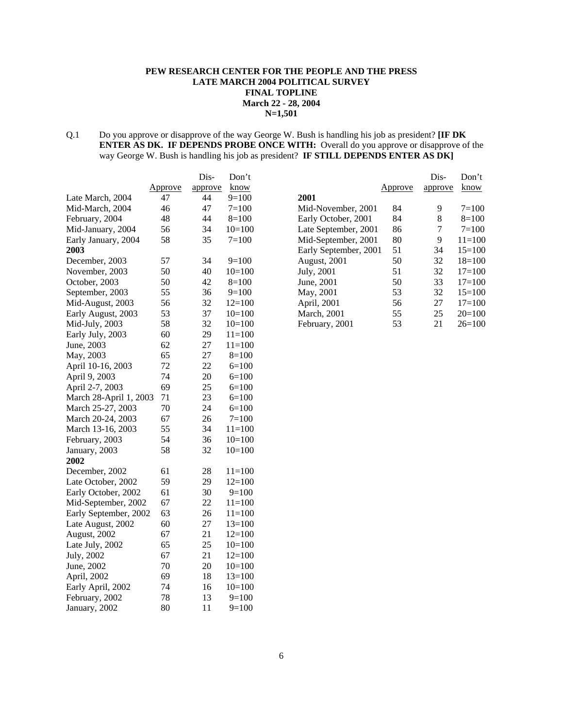# **PEW RESEARCH CENTER FOR THE PEOPLE AND THE PRESS LATE MARCH 2004 POLITICAL SURVEY FINAL TOPLINE March 22 - 28, 2004 N=1,501**

Q.1 Do you approve or disapprove of the way George W. Bush is handling his job as president? **[IF DK ENTER AS DK. IF DEPENDS PROBE ONCE WITH:** Overall do you approve or disapprove of the way George W. Bush is handling his job as president? **IF STILL DEPENDS ENTER AS DK]**

|                        |         | Dis-    | Don't      |
|------------------------|---------|---------|------------|
|                        | Approve | approve | know       |
| Late March, 2004       | 47      | 44      | $9=100$    |
| Mid-March, 2004        | 46      | 47      | $7 = 100$  |
| February, 2004         | 48      | 44      | $8=100$    |
| Mid-January, 2004      | 56      | 34      | $10=100$   |
| Early January, 2004    | 58      | 35      | $7=100$    |
| 2003                   |         |         |            |
| December, 2003         | 57      | 34      | $9=100$    |
| November, 2003         | 50      | 40      | $10=100$   |
| October, 2003          | 50      | 42      | $8=100$    |
| September, 2003        | 55      | 36      | $9=100$    |
| Mid-August, 2003       | 56      | 32      | $12=100$   |
| Early August, 2003     | 53      | 37      | $10=100$   |
| Mid-July, 2003         | 58      | 32      | $10=100$   |
| Early July, 2003       | 60      | 29      | $11 = 100$ |
| June, 2003             | 62      | 27      | $11 = 100$ |
| May, 2003              | 65      | 27      | $8=100$    |
| April 10-16, 2003      | 72      | 22      | $6=100$    |
| April 9, 2003          | 74      | 20      | $6=100$    |
| April 2-7, 2003        | 69      | 25      | $6=100$    |
| March 28-April 1, 2003 | 71      | 23      | $6=100$    |
| March 25-27, 2003      | 70      | 24      | $6=100$    |
| March 20-24, 2003      | 67      | 26      | $7=100$    |
| March 13-16, 2003      | 55      | 34      | $11 = 100$ |
| February, 2003         | 54      | 36      | $10=100$   |
| January, 2003          | 58      | 32      | $10=100$   |
| 2002                   |         |         |            |
| December, 2002         | 61      | 28      | $11=100$   |
| Late October, 2002     | 59      | 29      | $12=100$   |
| Early October, 2002    | 61      | 30      | $9=100$    |
| Mid-September, 2002    | 67      | 22      | $11 = 100$ |
| Early September, 2002  | 63      | 26      | $11 = 100$ |
| Late August, 2002      | 60      | 27      | $13=100$   |
| August, 2002           | 67      | 21      | $12=100$   |
| Late July, 2002        | 65      | 25      | $10=100$   |
| July, 2002             | 67      | 21      | $12=100$   |
| June, 2002             | 70      | 20      | $10=100$   |
| April, 2002            | 69      | 18      | $13=100$   |
| Early April, 2002      | 74      | 16      | $10=100$   |
| February, 2002         | 78      | 13      | $9=100$    |
| January, 2002          | 80      | 11      | $9=100$    |

|                       |         | Dis-    | Don't      |
|-----------------------|---------|---------|------------|
|                       | Approve | approve | know       |
| 2001                  |         |         |            |
| Mid-November, 2001    | 84      | 9       | $7 = 100$  |
| Early October, 2001   | 84      | 8       | $8=100$    |
| Late September, 2001  | 86      | 7       | $7 = 100$  |
| Mid-September, 2001   | 80      | 9       | $11 = 100$ |
| Early September, 2001 | 51      | 34      | $15=100$   |
| <b>August</b> , 2001  | 50      | 32      | $18=100$   |
| July, 2001            | 51      | 32      | $17 = 100$ |
| June, 2001            | 50      | 33      | $17 = 100$ |
| May, 2001             | 53      | 32      | $15=100$   |
| April, 2001           | 56      | 27      | $17 = 100$ |
| <b>March</b> , 2001   | 55      | 25      | $20=100$   |
| February, 2001        | 53      | 21      | $26=100$   |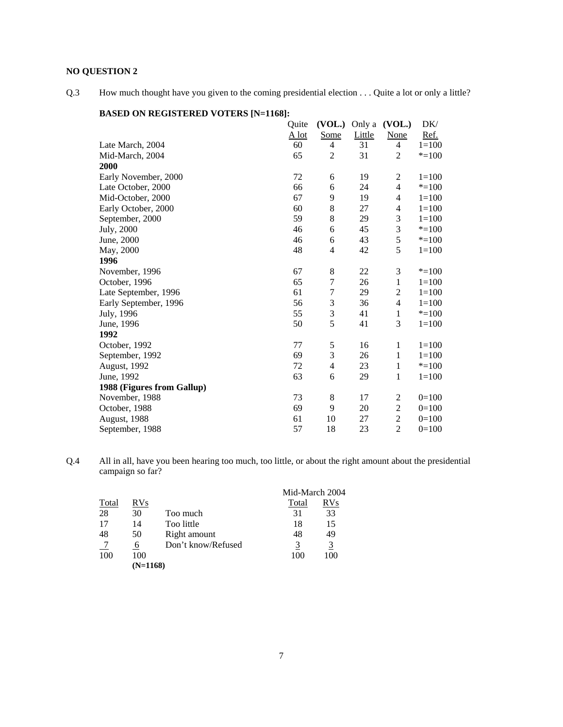# **NO QUESTION 2**

Q.3 How much thought have you given to the coming presidential election . . . Quite a lot or only a little?

| ON REGISTERED YOTERS       |         |                  |        |                |           |
|----------------------------|---------|------------------|--------|----------------|-----------|
|                            | Quite   | (VOL.)           | Only a | (VOL.)         | DK/       |
|                            | $A$ lot | <u>Some</u>      | Little | <b>None</b>    | Ref.      |
| Late March, 2004           | 60      | 4                | 31     | $\overline{4}$ | $1 = 100$ |
| Mid-March, 2004            | 65      | 2                | 31     | $\overline{2}$ | $* = 100$ |
| 2000                       |         |                  |        |                |           |
| Early November, 2000       | 72      | 6                | 19     | $\overline{c}$ | $1=100$   |
| Late October, 2000         | 66      | 6                | 24     | $\overline{4}$ | $* = 100$ |
| Mid-October, 2000          | 67      | 9                | 19     | $\overline{4}$ | $1 = 100$ |
| Early October, 2000        | 60      | 8                | 27     | $\overline{4}$ | $1 = 100$ |
| September, 2000            | 59      | 8                | 29     | 3              | $1 = 100$ |
| July, 2000                 | 46      | 6                | 45     | 3              | $* = 100$ |
| June, 2000                 | 46      | 6                | 43     | 5              | $* = 100$ |
| May, 2000                  | 48      | 4                | 42     | 5              | $1=100$   |
| 1996                       |         |                  |        |                |           |
| November, 1996             | 67      | $\,$ 8 $\,$      | 22     | 3              | $* = 100$ |
| October, 1996              | 65      | $\overline{7}$   | 26     | $\mathbf{1}$   | $1 = 100$ |
| Late September, 1996       | 61      | $\boldsymbol{7}$ | 29     | $\overline{2}$ | $1 = 100$ |
| Early September, 1996      | 56      | $\mathfrak{Z}$   | 36     | $\overline{4}$ | $1 = 100$ |
| July, 1996                 | 55      | 3                | 41     | 1              | $* = 100$ |
| June, 1996                 | 50      | 5                | 41     | 3              | $1 = 100$ |
| 1992                       |         |                  |        |                |           |
| October, 1992              | 77      | 5                | 16     | 1              | $1 = 100$ |
| September, 1992            | 69      | 3                | 26     | 1              | $1 = 100$ |
| August, 1992               | 72      | $\overline{4}$   | 23     | 1              | $* = 100$ |
| June, 1992                 | 63      | 6                | 29     | 1              | $1=100$   |
| 1988 (Figures from Gallup) |         |                  |        |                |           |
| November, 1988             | 73      | 8                | 17     | 2              | $0=100$   |
| October, 1988              | 69      | 9                | 20     | $\sqrt{2}$     | $0=100$   |
| August, 1988               | 61      | 10               | 27     | $\overline{2}$ | $0=100$   |
| September, 1988            | 57      | 18               | 23     | $\overline{2}$ | $0=100$   |
|                            |         |                  |        |                |           |

# **BASED ON REGISTERED VOTERS [N=1168]:**

Q.4 All in all, have you been hearing too much, too little, or about the right amount about the presidential campaign so far?

|       |            |                    | Mid-March 2004 |            |
|-------|------------|--------------------|----------------|------------|
| Total | <b>RVs</b> |                    | Total          | <b>RVs</b> |
| 28    | 30         | Too much           | 31             | 33         |
| 17    | 14         | Too little         | 18             | 15         |
| 48    | 50         | Right amount       | 48             | 49         |
|       | 6          | Don't know/Refused | 3              | 3          |
| 100   | 100        |                    | 100            | 100        |
|       | $(N=1168)$ |                    |                |            |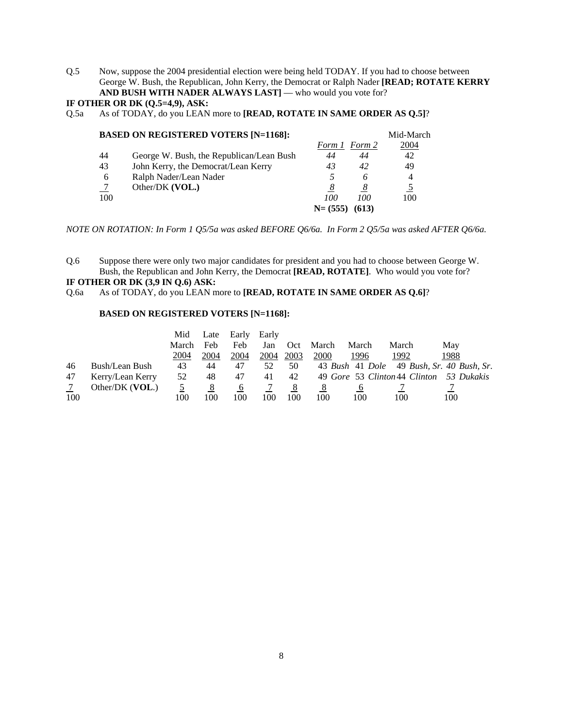Q.5 Now, suppose the 2004 presidential election were being held TODAY. If you had to choose between George W. Bush, the Republican, John Kerry, the Democrat or Ralph Nader **[READ; ROTATE KERRY AND BUSH WITH NADER ALWAYS LAST]** — who would you vote for?

# **IF OTHER OR DK (Q.5=4,9), ASK:**

Q.5a As of TODAY, do you LEAN more to **[READ, ROTATE IN SAME ORDER AS Q.5]**?

|     | <b>BASED ON REGISTERED VOTERS [N=1168]:</b> |           |        | Mid-March      |
|-----|---------------------------------------------|-----------|--------|----------------|
|     |                                             | Form 1    | Form 2 | 2004           |
| 44  | George W. Bush, the Republican/Lean Bush    | 44        | 44     | 42             |
| 43  | John Kerry, the Democrat/Lean Kerry         | 43        | 42     | 49             |
| 6   | Ralph Nader/Lean Nader                      |           | 6      | $\overline{4}$ |
|     | Other/DK (VOL.)                             | 8         |        |                |
| 100 |                                             | 100       | 100    | 100            |
|     |                                             | $N=(555)$ | (613)  |                |

*NOTE ON ROTATION: In Form 1 Q5/5a was asked BEFORE Q6/6a. In Form 2 Q5/5a was asked AFTER Q6/6a.*

Q.6 Suppose there were only two major candidates for president and you had to choose between George W. Bush, the Republican and John Kerry, the Democrat **[READ, ROTATE]**. Who would you vote for?

# **IF OTHER OR DK (3,9 IN Q.6) ASK:**

Q.6a As of TODAY, do you LEAN more to **[READ, ROTATE IN SAME ORDER AS Q.6]**?

#### **BASED ON REGISTERED VOTERS [N=1168]:**

|     |                  | Mid   | Late | Early    | Early |      |       |       |       |                                           |
|-----|------------------|-------|------|----------|-------|------|-------|-------|-------|-------------------------------------------|
|     |                  | March | Feb  | Feb      | Jan   | Oct  | March | March | March | May                                       |
|     |                  | 2004  | 2004 | 2004     | 2004  | 2003 | 2000  | 1996  | 1992  | 1988                                      |
| 46  | Bush/Lean Bush   | 43    | 44   | 47       | 52    | 50   |       |       |       | 43 Bush 41 Dole 49 Bush, Sr. 40 Bush, Sr. |
| 47  | Kerry/Lean Kerry | 52    | 48   | 47       | 41    | 42   |       |       |       | 49 Gore 53 Clinton 44 Clinton 53 Dukakis  |
|     | Other/DK (VOL.)  |       |      | $\sigma$ |       | 8    | 8     |       |       |                                           |
| 100 |                  | 100   | 100  | 100      | 100   | 100  | 100   | 100   | 100   | 100                                       |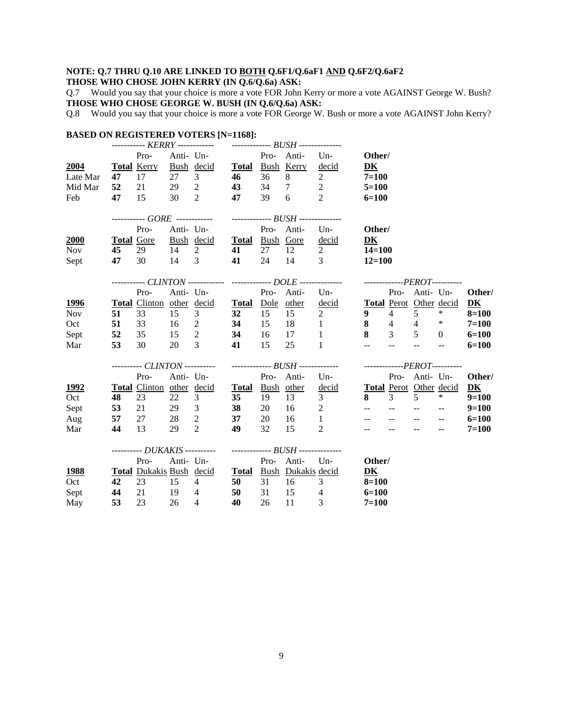# **NOTE: Q.7 THRU Q.10 ARE LINKED TO BOTH Q.6F1/Q.6aF1 AND Q.6F2/Q.6aF2**

# **THOSE WHO CHOSE JOHN KERRY (IN Q.6/Q.6a) ASK:**

Q.7 Would you say that your choice is more a vote FOR John Kerry or more a vote AGAINST George W. Bush? **THOSE WHO CHOSE GEORGE W. BUSH (IN Q.6/Q.6a) ASK:**

Q.8 Would you say that your choice is more a vote FOR George W. Bush or more a vote AGAINST John Kerry?

| <b>BASED ON REGISTERED VOTERS [N=1168]:</b> |    |                    |               |                                                                                 |    |            |                                                                                |                                                                                                                                               |                                 |                           |                                                         |                                               |           |
|---------------------------------------------|----|--------------------|---------------|---------------------------------------------------------------------------------|----|------------|--------------------------------------------------------------------------------|-----------------------------------------------------------------------------------------------------------------------------------------------|---------------------------------|---------------------------|---------------------------------------------------------|-----------------------------------------------|-----------|
|                                             |    |                    |               | ----------- KERRY ------------    --------------    BUSH    --------------      |    |            |                                                                                |                                                                                                                                               |                                 |                           |                                                         |                                               |           |
|                                             |    | Pro-               |               | Anti- Un-                                                                       |    | Pro- Anti- |                                                                                | Un-                                                                                                                                           | Other/                          |                           |                                                         |                                               |           |
| 2004                                        |    | <b>Total Kerry</b> |               | $\frac{\text{Bush}}{27}$ $\frac{\text{decid}}{3}$<br>3 <sup>7</sup>             |    |            | <b>Total</b> Bush Kerry<br>8                                                   | decid<br>$\overline{2}$                                                                                                                       | DK                              |                           |                                                         |                                               |           |
| Late Mar                                    |    | 47 17              | 27            |                                                                                 | 46 | 36         | $\begin{array}{ccc} 36 & 8 & - \\ 34 & 7 & 2 \\ 2 & 2 & 3 \end{array}$         |                                                                                                                                               | $7 = 100$                       |                           |                                                         |                                               |           |
| Mid Mar                                     | 52 | 21                 | $29\qquad2$   |                                                                                 | 43 |            |                                                                                |                                                                                                                                               | $5 = 100$                       |                           |                                                         |                                               |           |
| Feb                                         | 47 | 15                 | 30 2          |                                                                                 | 47 | 39         | 6                                                                              | 2                                                                                                                                             | $6=100$                         |                           |                                                         |                                               |           |
|                                             |    |                    |               | ----------- GORE ------------    --------------    BUSH    --------------       |    |            |                                                                                |                                                                                                                                               |                                 |                           |                                                         |                                               |           |
|                                             |    | Pro-               |               | Anti- Un-                                                                       |    | Pro- Anti- |                                                                                | $Un-$                                                                                                                                         | Other/                          |                           |                                                         |                                               |           |
| 2000                                        |    |                    |               | Total Gore Bush decid Total Bush Gore                                           |    |            |                                                                                | decid                                                                                                                                         | DK                              |                           |                                                         |                                               |           |
| Nov                                         | 45 | 29                 |               | $14 \quad 2$                                                                    | 41 |            | 27 12                                                                          | $\overline{2}$                                                                                                                                | $14 = 100$                      |                           |                                                         |                                               |           |
| Sept                                        | 47 | 30                 | 14 3          |                                                                                 | 41 | 24         | 14 3                                                                           |                                                                                                                                               | $12 = 100$                      |                           |                                                         |                                               |           |
|                                             |    |                    |               |                                                                                 |    |            |                                                                                | ----------- CLINTON ------------- -------------- DOLE --------------- ----------------PEROT----------                                         |                                 |                           |                                                         |                                               |           |
|                                             |    | Pro-               |               | Anti- Un-                                                                       |    | Pro- Anti- |                                                                                | Un                                                                                                                                            |                                 |                           | Pro- Anti- Un-                                          |                                               | Other/    |
| 1996                                        |    |                    |               |                                                                                 |    |            |                                                                                |                                                                                                                                               |                                 |                           |                                                         |                                               | DK        |
| <b>Nov</b>                                  |    |                    |               | <b>Total</b> Clinton other decid <b>Total</b> Dole other<br>51 33 15 3 32 15 15 |    |            |                                                                                | $\frac{\text{decid}}{2} \qquad \frac{\text{Total}}{9} \frac{\text{Perot}}{4} \frac{\text{Other}}{5} \frac{\text{decid}}{4}$<br>$\overline{2}$ | $9 \t 4 \t 5$                   |                           |                                                         |                                               | $8 = 100$ |
| Oct                                         | 51 | 33                 | $16 \quad 2$  |                                                                                 | 34 | 15         |                                                                                |                                                                                                                                               |                                 |                           | 8 4 4 $*$                                               |                                               | $7 = 100$ |
|                                             | 52 | 35                 | $15 \qquad 2$ | 34                                                                              |    | 16         | $\begin{array}{cc} 18 & \hspace{1.5cm} 1 \\ 17 & \hspace{1.5cm} 1 \end{array}$ | $\overline{1}$                                                                                                                                |                                 |                           | $8 \t 3 \t 5 \t 0$                                      |                                               | $6=100$   |
| Sept<br>Mar                                 | 53 | 30                 | 20            | $\overline{3}$                                                                  | 41 | 15         | 25                                                                             | $\mathbf{1}$                                                                                                                                  | $\frac{1}{2}$ and $\frac{1}{2}$ | $\mathbb{L}^{\mathbb{L}}$ | $\mathbb{L}^{\mathbb{L}}$                               | $\mathbb{L}^{\mathbb{L}}$                     | $6=100$   |
|                                             |    |                    |               |                                                                                 |    |            |                                                                                |                                                                                                                                               |                                 |                           |                                                         |                                               |           |
|                                             |    |                    |               |                                                                                 |    |            |                                                                                |                                                                                                                                               |                                 |                           |                                                         |                                               |           |
|                                             |    | Pro-               |               | Anti- Un-                                                                       |    |            |                                                                                | Pro- Anti- Un-                                                                                                                                |                                 |                           | Pro- Anti- Un-                                          |                                               | Other/    |
| <u> 1992 </u>                               |    |                    |               | Total Clinton other decid Total Bush other                                      |    |            |                                                                                | decid Total Perot Other decid                                                                                                                 |                                 |                           |                                                         |                                               | DK        |
| Oct                                         | 48 | 23                 | 22            | 3                                                                               | 35 | 19         | 13                                                                             | 3 <sup>7</sup>                                                                                                                                | $8^{\circ}$                     | $3^{\circ}$               | 5 <sup>5</sup>                                          | $*$                                           | $9=100$   |
| Sept                                        | 53 |                    |               | 21 29 3                                                                         | 38 | 20         | $16 \qquad 2$                                                                  |                                                                                                                                               | المستحدث المستحدث               |                           | $\mathcal{L}(\mathbf{z})$ and $\mathcal{L}(\mathbf{z})$ | $\sim$ $\sim$                                 | $9=100$   |
| Aug                                         | 57 | 27                 |               | 28 2                                                                            | 37 | 20         | 16                                                                             | $\sim$ 1                                                                                                                                      |                                 |                           | $\mathcal{L} = \{ \mathcal{L} \}$ .                     | $\overline{\phantom{a}}$                      | $6=100$   |
| Mar                                         | 44 | 13                 | 29 2          |                                                                                 | 49 | 32         | 15                                                                             | 2                                                                                                                                             | $-$                             |                           | $\mathbb{L}^{\mathbb{L}}$                               | $\mathord{\hspace{1pt}\text{--}\hspace{1pt}}$ | $7 = 100$ |
|                                             |    |                    |               |                                                                                 |    |            |                                                                                |                                                                                                                                               |                                 |                           |                                                         |                                               |           |
|                                             |    | Pro-               |               | Anti- Un-                                                                       |    | Pro- Anti- |                                                                                | $Un-$                                                                                                                                         | Other/                          |                           |                                                         |                                               |           |
| 1988                                        |    |                    |               | Total Dukakis Bush decid Total Bush Dukakis decid                               |    |            |                                                                                |                                                                                                                                               | DK                              |                           |                                                         |                                               |           |
| Oct                                         | 42 | 23                 | 15            | $\overline{4}$                                                                  | 50 |            | 31 16                                                                          | $\mathbf{3}$                                                                                                                                  | $8 = 100$                       |                           |                                                         |                                               |           |
|                                             |    |                    |               |                                                                                 |    |            |                                                                                |                                                                                                                                               |                                 |                           |                                                         |                                               |           |
| Sept                                        | 44 | 21                 | 19 4          |                                                                                 | 50 | 31         | 15                                                                             | $\overline{4}$                                                                                                                                | $6=100$                         |                           |                                                         |                                               |           |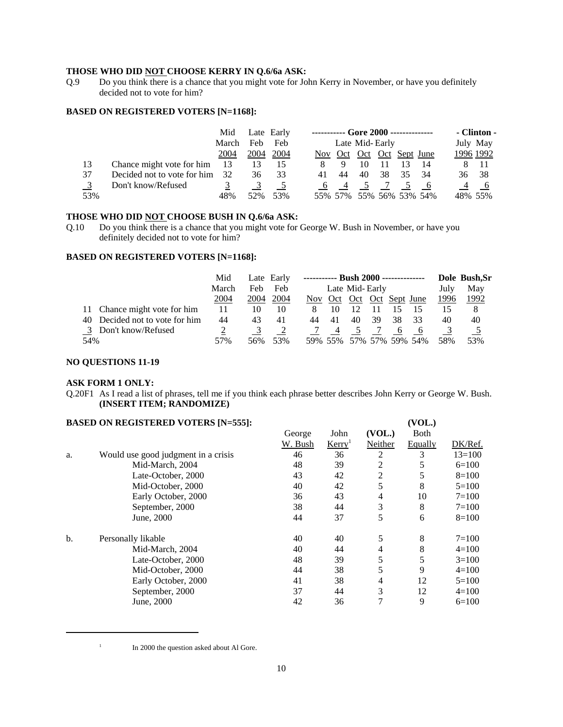## **THOSE WHO DID NOT CHOOSE KERRY IN Q.6/6a ASK:**

Q.9 Do you think there is a chance that you might vote for John Kerry in November, or have you definitely decided not to vote for him?

#### **BASED ON REGISTERED VOTERS [N=1168]:**

|     |                             | Mid   |      | Late Early |    | ----------- Gore 2000 -------------- |    |    |    |                 | - Clinton - |           |
|-----|-----------------------------|-------|------|------------|----|--------------------------------------|----|----|----|-----------------|-------------|-----------|
|     |                             | March | Feb  | Feb        |    | Late Mid-Early                       |    |    |    |                 | July May    |           |
|     |                             | 2004  | 2004 | 2004       |    | Nov Oct Oct Oct Sept June            |    |    |    |                 |             | 1996 1992 |
| 13  | Chance might vote for him   | -13   | 13   | 15         |    | 9                                    | 10 |    |    | 14              |             | - 11      |
| 37  | Decided not to vote for him | 32    | 36   | 33         | 41 | 44                                   | 40 | 38 | 35 | 34              | 36          | - 38      |
|     | Don't know/Refused          |       |      |            |    |                                      |    |    |    |                 |             |           |
| 53% |                             | 48%   | 52%  | 53%        |    | 55% 57%                              |    |    |    | 55% 56% 53% 54% |             | 48% 55%   |

## **THOSE WHO DID NOT CHOOSE BUSH IN Q.6/6a ASK:**

Q.10 Do you think there is a chance that you might vote for George W. Bush in November, or have you definitely decided not to vote for him?

#### **BASED ON REGISTERED VOTERS [N=1168]:**

|                                   | Mid   |      | Late Early | ----------- Bush 2000 -------------- |     |                         |    |      |     | Dole Bush, Sr |      |
|-----------------------------------|-------|------|------------|--------------------------------------|-----|-------------------------|----|------|-----|---------------|------|
|                                   | March | Feb  | Feb        | Late Mid-Early                       |     |                         |    | July | May |               |      |
|                                   | 2004  | 2004 | 2004       | Nov.                                 | Oct | Oct Oct Sept June       |    |      |     | 1996          | 1992 |
| 11 Chance might vote for him      | 11    | 10   | 10         |                                      | 10  |                         |    |      |     |               | 8    |
| Decided not to vote for him<br>40 | 44    | 43   | 41         | 44                                   | 41  | 40                      | 39 | 38   | 33  | 40            | 40   |
| 3 Don't know/Refused              |       |      |            |                                      |     |                         |    | -6   |     |               |      |
| 54%                               | 57%   | 56%  | 53%        |                                      |     | 59% 55% 57% 57% 59% 54% |    |      |     | 58%           | 53%  |

#### **NO QUESTIONS 11-19**

#### **ASK FORM 1 ONLY:**

Q.20F1 As I read a list of phrases, tell me if you think each phrase better describes John Kerry or George W. Bush. **(INSERT ITEM; RANDOMIZE)**

#### **BASED ON REGISTERED VOTERS [N=555]:** (VOL.)

|    |                                     | George  | John               | (VOL.)  | <b>B</b> oth |            |
|----|-------------------------------------|---------|--------------------|---------|--------------|------------|
|    |                                     | W. Bush | Kerry <sup>1</sup> | Neither | Equally      | DK/Ref.    |
| a. | Would use good judgment in a crisis | 46      | 36                 | 2       | 3            | $13 = 100$ |
|    | Mid-March, 2004                     | 48      | 39                 | 2       | 5            | $6=100$    |
|    | Late-October, 2000                  | 43      | 42                 | 2       | 5            | $8=100$    |
|    | Mid-October, 2000                   | 40      | 42                 | 5       | 8            | $5=100$    |
|    | Early October, 2000                 | 36      | 43                 | 4       | 10           | $7=100$    |
|    | September, 2000                     | 38      | 44                 | 3       | 8            | $7=100$    |
|    | June, 2000                          | 44      | 37                 | 5       | 6            | $8=100$    |
| b. | Personally likable                  | 40      | 40                 | 5       | 8            | $7=100$    |
|    | Mid-March, 2004                     | 40      | 44                 | 4       | 8            | $4=100$    |
|    | Late-October, 2000                  | 48      | 39                 | 5       | 5            | $3=100$    |
|    | Mid-October, 2000                   | 44      | 38                 | 5       | 9            | $4=100$    |
|    | Early October, 2000                 | 41      | 38                 | 4       | 12           | $5=100$    |
|    | September, 2000                     | 37      | 44                 | 3       | 12           | $4=100$    |
|    | June, 2000                          | 42      | 36                 | 7       | 9            | $6=100$    |
|    |                                     |         |                    |         |              |            |

<sup>&</sup>lt;sup>1</sup> In 2000 the question asked about Al Gore.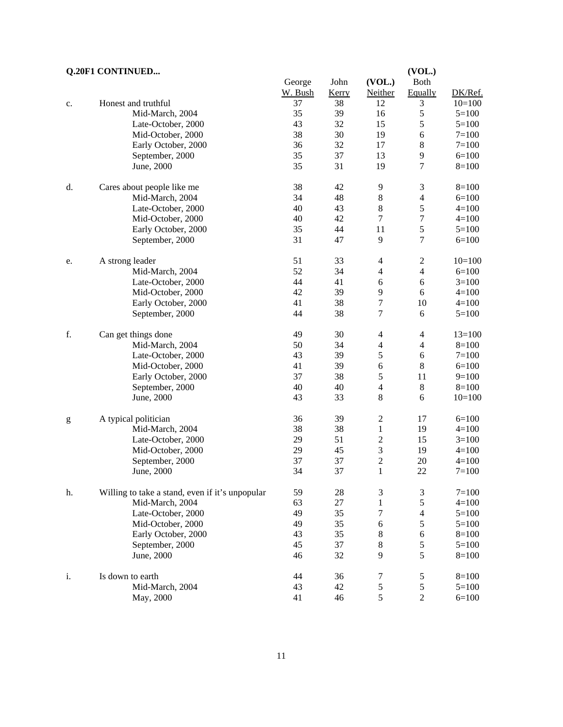# **Q.20F1 CONTINUED... (VOL.)**

|                                                                                                                                                                                                                                                                                                                                                                                                                                |                                                 | George  | John  | (VOL.)                   | <b>Both</b>      |           |
|--------------------------------------------------------------------------------------------------------------------------------------------------------------------------------------------------------------------------------------------------------------------------------------------------------------------------------------------------------------------------------------------------------------------------------|-------------------------------------------------|---------|-------|--------------------------|------------------|-----------|
|                                                                                                                                                                                                                                                                                                                                                                                                                                |                                                 | W. Bush | Kerry | Neither                  | Equally          | DK/Ref.   |
| c.                                                                                                                                                                                                                                                                                                                                                                                                                             | Honest and truthful                             | 37      | 38    | 12                       | 3                | $10=100$  |
|                                                                                                                                                                                                                                                                                                                                                                                                                                | Mid-March, 2004                                 | 35      | 39    | 16                       | 5                | $5=100$   |
|                                                                                                                                                                                                                                                                                                                                                                                                                                | Late-October, 2000                              | 43      | 32    | 15                       | 5                | $5=100$   |
|                                                                                                                                                                                                                                                                                                                                                                                                                                | Mid-October, 2000                               | 38      | 30    | 19                       | $\sqrt{6}$       | $7 = 100$ |
|                                                                                                                                                                                                                                                                                                                                                                                                                                | Early October, 2000                             | 36      | 32    | 17                       | $\,8\,$          | $7 = 100$ |
|                                                                                                                                                                                                                                                                                                                                                                                                                                | September, 2000                                 | 35      | 37    | 13                       | 9                | $6=100$   |
|                                                                                                                                                                                                                                                                                                                                                                                                                                | June, 2000                                      | 35      | 31    | 19                       | $\tau$           | $8=100$   |
| d.                                                                                                                                                                                                                                                                                                                                                                                                                             | Cares about people like me                      | 38      | 42    | 9                        | $\mathfrak{Z}$   | $8=100$   |
|                                                                                                                                                                                                                                                                                                                                                                                                                                | Mid-March, 2004                                 | 34      | 48    | $\,8$                    | $\overline{4}$   | $6=100$   |
|                                                                                                                                                                                                                                                                                                                                                                                                                                | Late-October, 2000                              | $40\,$  | 43    | $\,8$                    | $\mathfrak s$    | $4 = 100$ |
|                                                                                                                                                                                                                                                                                                                                                                                                                                | Mid-October, 2000                               | 40      | 42    | $\boldsymbol{7}$         | $\boldsymbol{7}$ | $4 = 100$ |
|                                                                                                                                                                                                                                                                                                                                                                                                                                | Early October, 2000                             | 35      | 44    | 11                       | 5                | $5 = 100$ |
|                                                                                                                                                                                                                                                                                                                                                                                                                                | September, 2000                                 | 31      | 47    | 9                        | $\boldsymbol{7}$ | $6=100$   |
| e.                                                                                                                                                                                                                                                                                                                                                                                                                             | A strong leader                                 | 51      | 33    | $\overline{\mathcal{A}}$ | $\sqrt{2}$       | $10=100$  |
|                                                                                                                                                                                                                                                                                                                                                                                                                                | Mid-March, 2004                                 | 52      | 34    | $\overline{\mathcal{A}}$ | $\overline{4}$   | $6=100$   |
|                                                                                                                                                                                                                                                                                                                                                                                                                                | Late-October, 2000                              | 44      | 41    | 6                        | $6\,$            | $3=100$   |
|                                                                                                                                                                                                                                                                                                                                                                                                                                | Mid-October, 2000                               | 42      | 39    | 9                        | $6\,$            | $4 = 100$ |
|                                                                                                                                                                                                                                                                                                                                                                                                                                | Early October, 2000                             | 41      | 38    | $\boldsymbol{7}$         | 10               | $4=100$   |
|                                                                                                                                                                                                                                                                                                                                                                                                                                | September, 2000                                 | 44      | 38    | $\boldsymbol{7}$         | $\sqrt{6}$       | $5 = 100$ |
| f.                                                                                                                                                                                                                                                                                                                                                                                                                             | Can get things done                             | 49      | 30    | $\overline{\mathcal{A}}$ | $\overline{4}$   | $13=100$  |
|                                                                                                                                                                                                                                                                                                                                                                                                                                | Mid-March, 2004                                 | 50      | 34    | $\overline{\mathcal{A}}$ | $\overline{4}$   | $8=100$   |
|                                                                                                                                                                                                                                                                                                                                                                                                                                | Late-October, 2000                              | 43      | 39    | 5                        | $\sqrt{6}$       | $7 = 100$ |
|                                                                                                                                                                                                                                                                                                                                                                                                                                | Mid-October, 2000                               | 41      | 39    | $\epsilon$               | $\,8\,$          | $6 = 100$ |
|                                                                                                                                                                                                                                                                                                                                                                                                                                | Early October, 2000                             | 37      | 38    | 5                        | 11               | $9=100$   |
|                                                                                                                                                                                                                                                                                                                                                                                                                                | September, 2000                                 | 40      | 40    | $\overline{4}$           | $8\,$            | $8=100$   |
|                                                                                                                                                                                                                                                                                                                                                                                                                                | June, 2000                                      | 43      | 33    | $\,8\,$                  | $6\,$            | $10=100$  |
| $\mathbf{g}% _{T}=\mathbf{g}_{T}=\mathbf{g}_{T}=\mathbf{g}_{T}=\mathbf{g}_{T}=\mathbf{g}_{T}=\mathbf{g}_{T}=\mathbf{g}_{T}=\mathbf{g}_{T}=\mathbf{g}_{T}=\mathbf{g}_{T}=\mathbf{g}_{T}=\mathbf{g}_{T}=\mathbf{g}_{T}=\mathbf{g}_{T}=\mathbf{g}_{T}=\mathbf{g}_{T}=\mathbf{g}_{T}=\mathbf{g}_{T}=\mathbf{g}_{T}=\mathbf{g}_{T}=\mathbf{g}_{T}=\mathbf{g}_{T}=\mathbf{g}_{T}=\mathbf{g}_{T}=\mathbf{g}_{T}=\mathbf{g}_{T}=\math$ | A typical politician                            | 36      | 39    | $\sqrt{2}$               | 17               | $6=100$   |
|                                                                                                                                                                                                                                                                                                                                                                                                                                | Mid-March, 2004                                 | 38      | 38    | $\mathbf{1}$             | 19               | $4 = 100$ |
|                                                                                                                                                                                                                                                                                                                                                                                                                                | Late-October, 2000                              | 29      | 51    | $\boldsymbol{2}$         | 15               | $3=100$   |
|                                                                                                                                                                                                                                                                                                                                                                                                                                | Mid-October, 2000                               | 29      | 45    | $\overline{\mathbf{3}}$  | 19               | $4 = 100$ |
|                                                                                                                                                                                                                                                                                                                                                                                                                                | September, 2000                                 | 37      | 37    | $\overline{c}$           | $20\,$           | $4 = 100$ |
|                                                                                                                                                                                                                                                                                                                                                                                                                                | June, 2000                                      | 34      | 37    | $\mathbf{1}$             | 22               | $7 = 100$ |
| h.                                                                                                                                                                                                                                                                                                                                                                                                                             | Willing to take a stand, even if it's unpopular | 59      | 28    | 3                        | $\mathfrak{Z}$   | $7 = 100$ |
|                                                                                                                                                                                                                                                                                                                                                                                                                                | Mid-March, 2004                                 | 63      | 27    | $\mathbf{1}$             | 5                | $4 = 100$ |
|                                                                                                                                                                                                                                                                                                                                                                                                                                | Late-October, 2000                              | 49      | 35    | 7                        | $\overline{4}$   | $5 = 100$ |
|                                                                                                                                                                                                                                                                                                                                                                                                                                | Mid-October, 2000                               | 49      | 35    | 6                        | 5                | $5 = 100$ |
|                                                                                                                                                                                                                                                                                                                                                                                                                                | Early October, 2000                             | 43      | 35    | $\,$ 8 $\,$              | 6                | $8=100$   |
|                                                                                                                                                                                                                                                                                                                                                                                                                                | September, 2000                                 | 45      | 37    | $\,8$                    | 5                | $5 = 100$ |
|                                                                                                                                                                                                                                                                                                                                                                                                                                | June, 2000                                      | 46      | 32    | 9                        | 5                | $8=100$   |
| i.                                                                                                                                                                                                                                                                                                                                                                                                                             | Is down to earth                                | 44      | 36    | 7                        | 5                | $8 = 100$ |
|                                                                                                                                                                                                                                                                                                                                                                                                                                | Mid-March, 2004                                 | 43      | 42    | $\mathfrak s$            | $\mathfrak s$    | $5 = 100$ |
|                                                                                                                                                                                                                                                                                                                                                                                                                                | May, 2000                                       | 41      | 46    | 5                        | $\overline{c}$   | $6 = 100$ |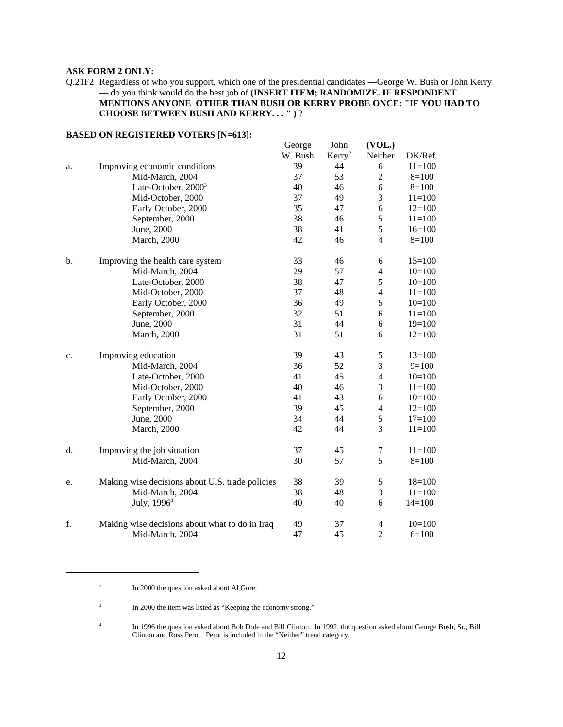## **ASK FORM 2 ONLY:**

Q.21F2 Regardless of who you support, which one of the presidential candidates —George W. Bush or John Kerry — do you think would do the best job of **(INSERT ITEM; RANDOMIZE. IF RESPONDENT MENTIONS ANYONE OTHER THAN BUSH OR KERRY PROBE ONCE: "IF YOU HAD TO CHOOSE BETWEEN BUSH AND KERRY. . . " )** ?

|    |                                                 | George  | John               | (VOL.)         |            |
|----|-------------------------------------------------|---------|--------------------|----------------|------------|
|    |                                                 | W. Bush | Kerry <sup>2</sup> | Neither        | DK/Ref.    |
| a. | Improving economic conditions                   | 39      | 44                 | 6              | $11=100$   |
|    | Mid-March, 2004                                 | 37      | 53                 | $\overline{2}$ | $8=100$    |
|    | Late-October, $2000^3$                          | 40      | 46                 | 6              | $8=100$    |
|    | Mid-October, 2000                               | 37      | 49                 | 3              | $11 = 100$ |
|    | Early October, 2000                             | 35      | 47                 | 6              | $12=100$   |
|    | September, 2000                                 | 38      | 46                 | 5              | $11 = 100$ |
|    | June, 2000                                      | 38      | 41                 | 5              | $16=100$   |
|    | <b>March</b> , 2000                             | 42      | 46                 | $\overline{4}$ | $8=100$    |
| b. | Improving the health care system                | 33      | 46                 | 6              | $15=100$   |
|    | Mid-March, 2004                                 | 29      | 57                 | $\overline{4}$ | $10=100$   |
|    | Late-October, 2000                              | 38      | 47                 | 5              | $10=100$   |
|    | Mid-October, 2000                               | 37      | 48                 | $\overline{4}$ | $11 = 100$ |
|    | Early October, 2000                             | 36      | 49                 | 5              | $10=100$   |
|    | September, 2000                                 | 32      | 51                 | 6              | $11=100$   |
|    | June, 2000                                      | 31      | 44                 | 6              | $19=100$   |
|    | <b>March</b> , 2000                             | 31      | 51                 | 6              | $12=100$   |
| c. | Improving education                             | 39      | 43                 | $\mathfrak s$  | $13=100$   |
|    | Mid-March, 2004                                 | 36      | 52                 | 3              | $9=100$    |
|    | Late-October, 2000                              | 41      | 45                 | $\overline{4}$ | $10=100$   |
|    | Mid-October, 2000                               | 40      | 46                 | 3              | $11 = 100$ |
|    | Early October, 2000                             | 41      | 43                 | 6              | $10=100$   |
|    | September, 2000                                 | 39      | 45                 | $\overline{4}$ | $12=100$   |
|    | June, 2000                                      | 34      | 44                 | 5              | $17=100$   |
|    | <b>March</b> , 2000                             | 42      | 44                 | 3              | $11 = 100$ |
| d. | Improving the job situation                     | 37      | 45                 | 7              | $11=100$   |
|    | Mid-March, 2004                                 | 30      | 57                 | 5              | $8=100$    |
| e. | Making wise decisions about U.S. trade policies | 38      | 39                 | $\mathfrak s$  | $18=100$   |
|    | Mid-March, 2004                                 | 38      | 48                 | 3              | $11 = 100$ |
|    | July, $19964$                                   | 40      | 40                 | 6              | $14=100$   |
| f. | Making wise decisions about what to do in Iraq  | 49      | 37                 | $\overline{4}$ | $10=100$   |
|    | Mid-March, 2004                                 | 47      | 45                 | $\overline{2}$ | $6=100$    |

# **BASED ON REGISTERED VOTERS [N=613]:**

<sup>&</sup>lt;sup>2</sup> In 2000 the question asked about Al Gore.

<sup>&</sup>lt;sup>3</sup> In 2000 the item was listed as "Keeping the economy strong."

<sup>&</sup>lt;sup>4</sup> In 1996 the question asked about Bob Dole and Bill Clinton. In 1992, the question asked about George Bush, Sr., Bill Clinton and Ross Perot. Perot is included in the "Neither" trend category.